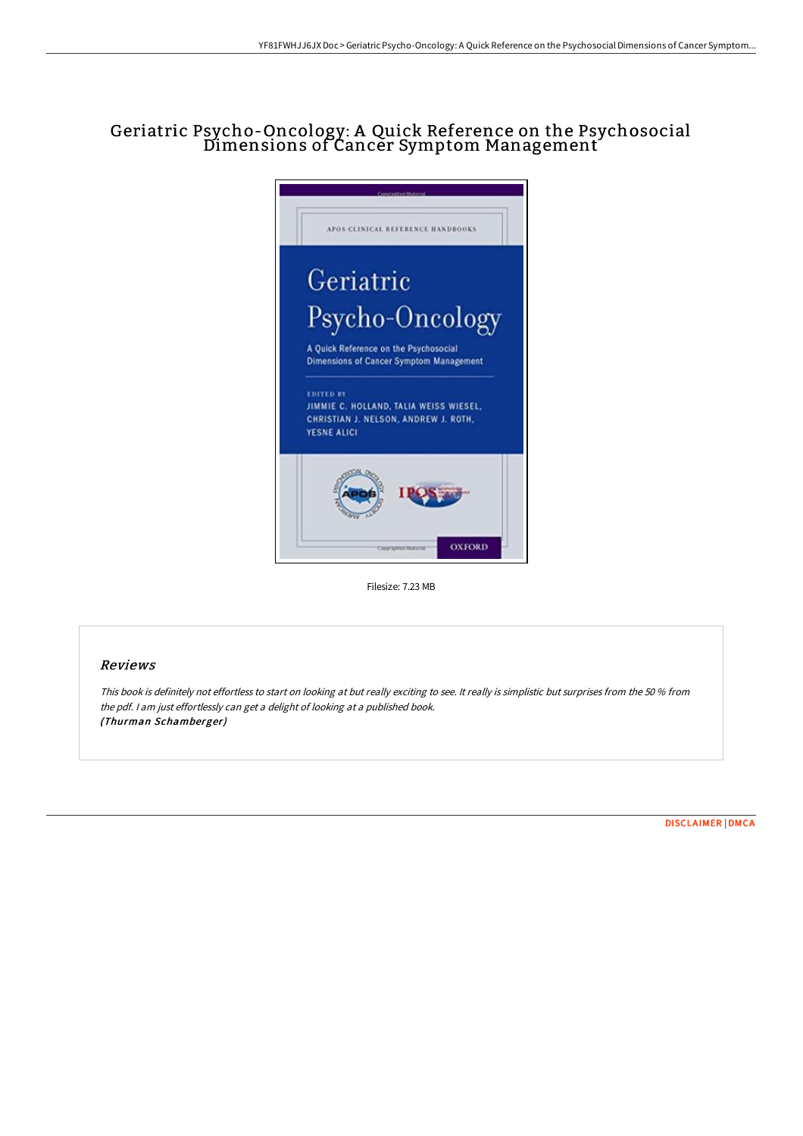# Geriatric Psycho-Oncology: A Quick Reference on the Psychosocial Dimensions of Cancer Symptom Management



Filesize: 7.23 MB

#### Reviews

This book is definitely not effortless to start on looking at but really exciting to see. It really is simplistic but surprises from the <sup>50</sup> % from the pdf. <sup>I</sup> am just effortlessly can get <sup>a</sup> delight of looking at <sup>a</sup> published book. (Thurman Schamberger)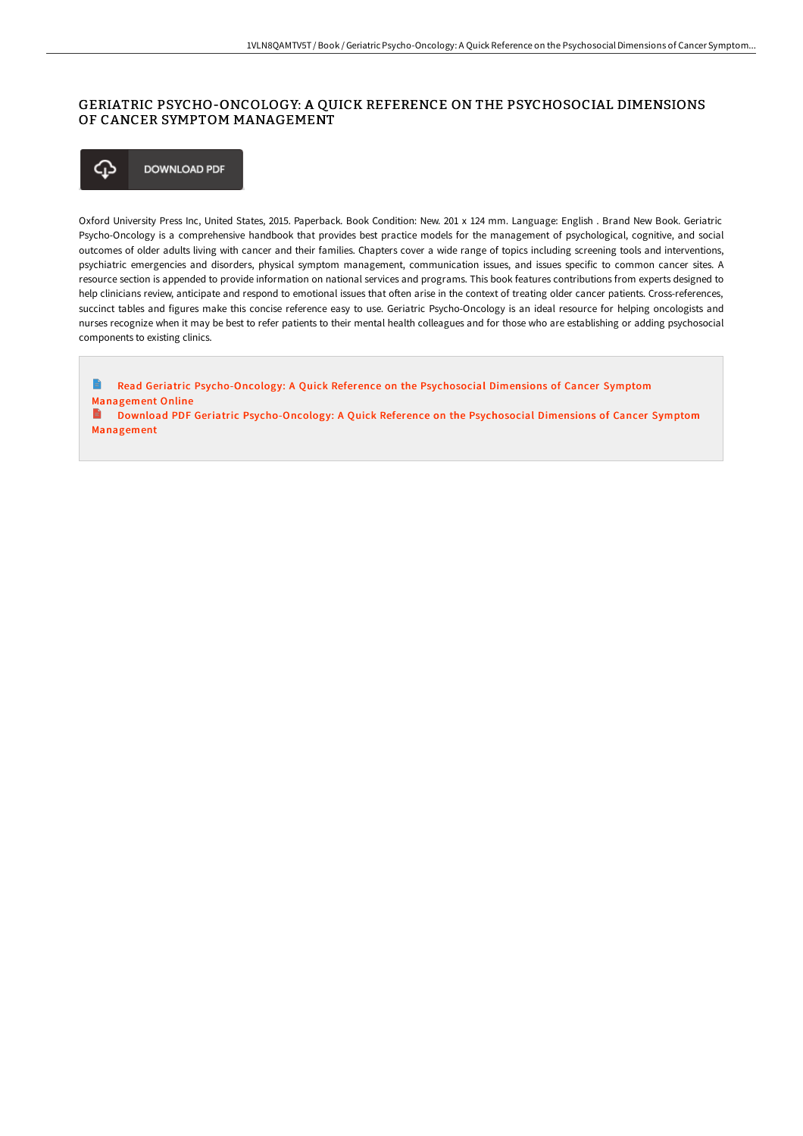## GERIATRIC PSYCHO-ONCOLOGY: A QUICK REFERENCE ON THE PSYCHOSOCIAL DIMENSIONS OF CANCER SYMPTOM MANAGEMENT



Oxford University Press Inc, United States, 2015. Paperback. Book Condition: New. 201 x 124 mm. Language: English . Brand New Book. Geriatric Psycho-Oncology is a comprehensive handbook that provides best practice models for the management of psychological, cognitive, and social outcomes of older adults living with cancer and their families. Chapters cover a wide range of topics including screening tools and interventions, psychiatric emergencies and disorders, physical symptom management, communication issues, and issues specific to common cancer sites. A resource section is appended to provide information on national services and programs. This book features contributions from experts designed to help clinicians review, anticipate and respond to emotional issues that often arise in the context of treating older cancer patients. Cross-references, succinct tables and figures make this concise reference easy to use. Geriatric Psycho-Oncology is an ideal resource for helping oncologists and nurses recognize when it may be best to refer patients to their mental health colleagues and for those who are establishing or adding psychosocial components to existing clinics.

E Read Geriatric [Psycho-Oncology:](http://www.bookdirs.com/geriatric-psycho-oncology-a-quick-reference-on-t.html) A Quick Reference on the Psychosocial Dimensions of Cancer Symptom Management Online<br>**B** Download PDF Download PDF Geriatric [Psycho-Oncology:](http://www.bookdirs.com/geriatric-psycho-oncology-a-quick-reference-on-t.html) A Quick Reference on the Psychosocial Dimensions of Cancer Symptom Management